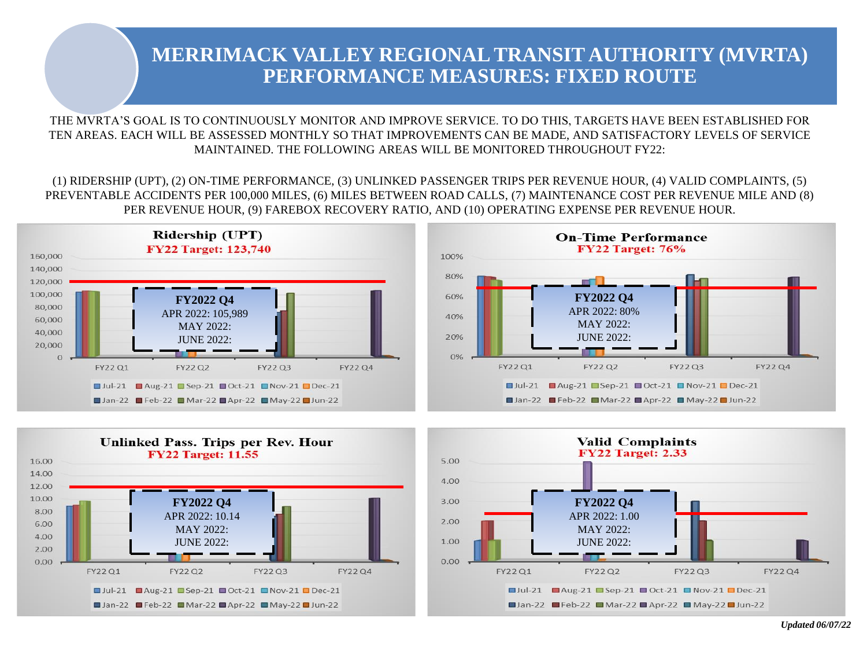THE MVRTA'S GOAL IS TO CONTINUOUSLY MONITOR AND IMPROVE SERVICE. TO DO THIS, TARGETS HAVE BEEN ESTABLISHED FOR TEN AREAS. EACH WILL BE ASSESSED MONTHLY SO THAT IMPROVEMENTS CAN BE MADE, AND SATISFACTORY LEVELS OF SERVICE MAINTAINED. THE FOLLOWING AREAS WILL BE MONITORED THROUGHOUT FY22:

(1) RIDERSHIP (UPT), (2) ON-TIME PERFORMANCE, (3) UNLINKED PASSENGER TRIPS PER REVENUE HOUR, (4) VALID COMPLAINTS, (5) PREVENTABLE ACCIDENTS PER 100,000 MILES, (6) MILES BETWEEN ROAD CALLS, (7) MAINTENANCE COST PER REVENUE MILE AND (8) PER REVENUE HOUR, (9) FAREBOX RECOVERY RATIO, AND (10) OPERATING EXPENSE PER REVENUE HOUR.







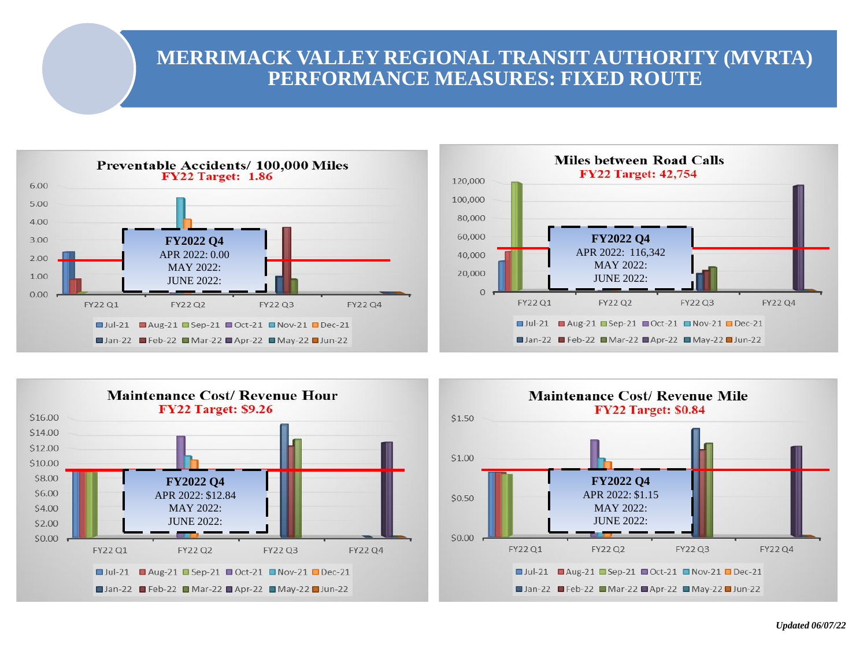





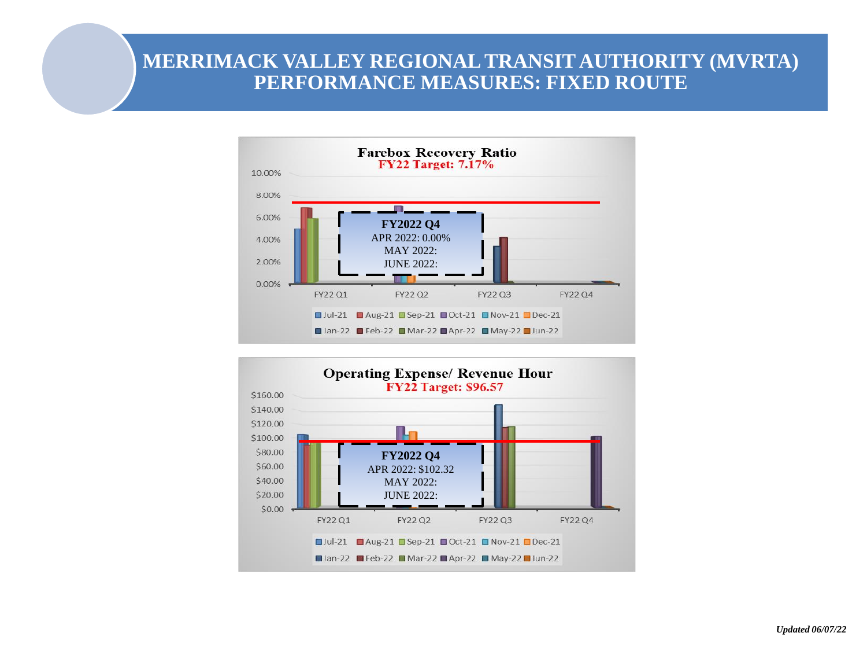